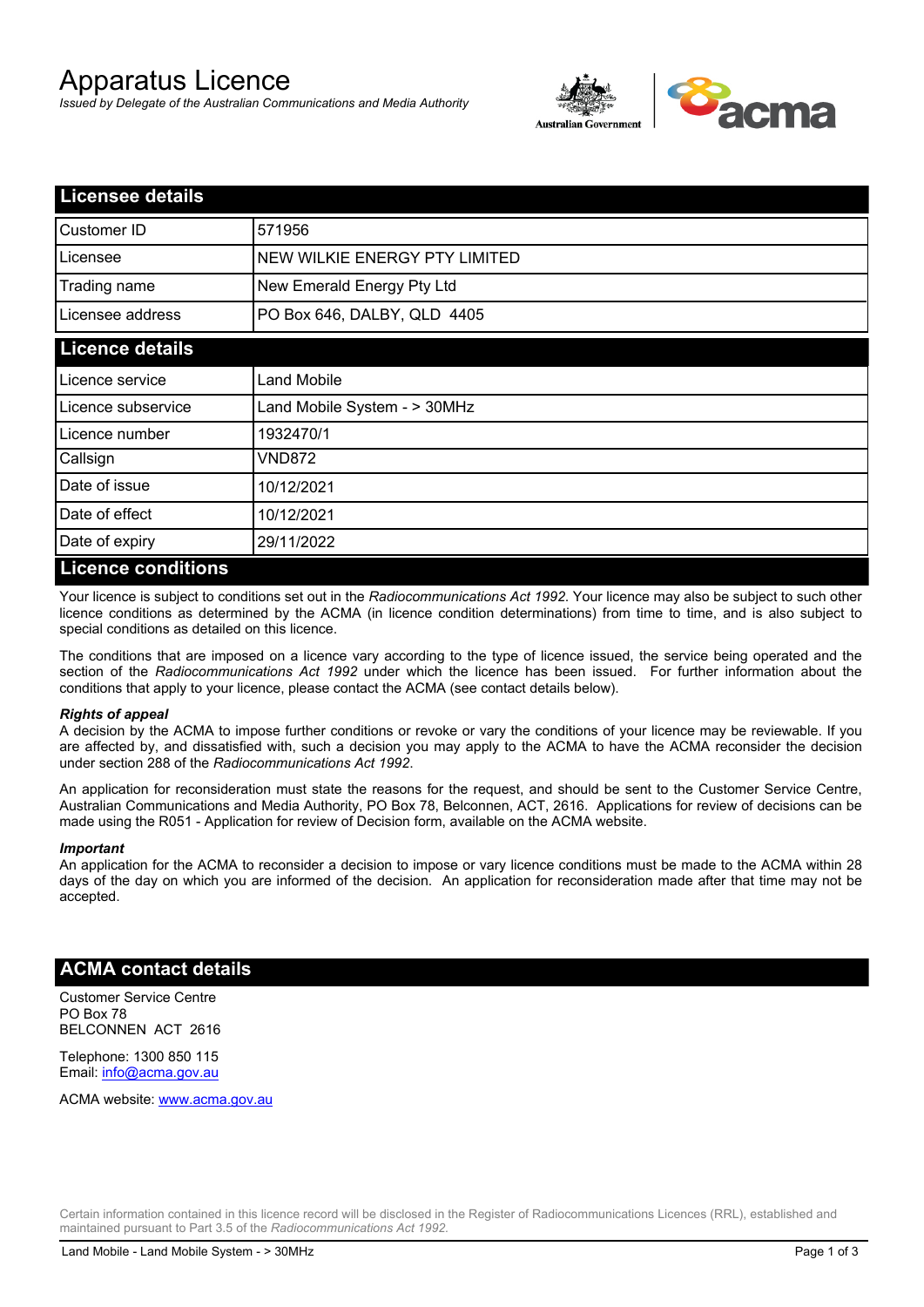# Apparatus Licence

*Issued by Delegate of the Australian Communications and Media Authority*



| <b>Licensee details</b> |                               |
|-------------------------|-------------------------------|
| <b>Customer ID</b>      | 571956                        |
| Licensee                | NEW WILKIE ENERGY PTY LIMITED |
| Trading name            | New Emerald Energy Pty Ltd    |
| Licensee address        | PO Box 646, DALBY, QLD 4405   |
| <b>Licence details</b>  |                               |
| Licence service         | Land Mobile                   |
| Licence subservice      | Land Mobile System - > 30MHz  |
| Licence number          | 1932470/1                     |
| Callsign                | VND872                        |
| Date of issue           | 10/12/2021                    |
| Date of effect          | 10/12/2021                    |
| Date of expiry          | 29/11/2022                    |
| I iconco conditione     |                               |

#### **Licence conditions**

Your licence is subject to conditions set out in the *Radiocommunications Act 1992*. Your licence may also be subject to such other licence conditions as determined by the ACMA (in licence condition determinations) from time to time, and is also subject to special conditions as detailed on this licence.

The conditions that are imposed on a licence vary according to the type of licence issued, the service being operated and the section of the *Radiocommunications Act 1992* under which the licence has been issued. For further information about the conditions that apply to your licence, please contact the ACMA (see contact details below).

#### *Rights of appeal*

A decision by the ACMA to impose further conditions or revoke or vary the conditions of your licence may be reviewable. If you are affected by, and dissatisfied with, such a decision you may apply to the ACMA to have the ACMA reconsider the decision under section 288 of the *Radiocommunications Act 1992*.

An application for reconsideration must state the reasons for the request, and should be sent to the Customer Service Centre, Australian Communications and Media Authority, PO Box 78, Belconnen, ACT, 2616. Applications for review of decisions can be made using the R051 - Application for review of Decision form, available on the ACMA website.

#### *Important*

An application for the ACMA to reconsider a decision to impose or vary licence conditions must be made to the ACMA within 28 days of the day on which you are informed of the decision. An application for reconsideration made after that time may not be accepted.

#### **ACMA contact details**

Customer Service Centre PO Box 78 BELCONNEN ACT 2616

Telephone: 1300 850 115 Email: info@acma.gov.au

ACMA website: www.acma.gov.au

Certain information contained in this licence record will be disclosed in the Register of Radiocommunications Licences (RRL), established and maintained pursuant to Part 3.5 of the *Radiocommunications Act 1992.*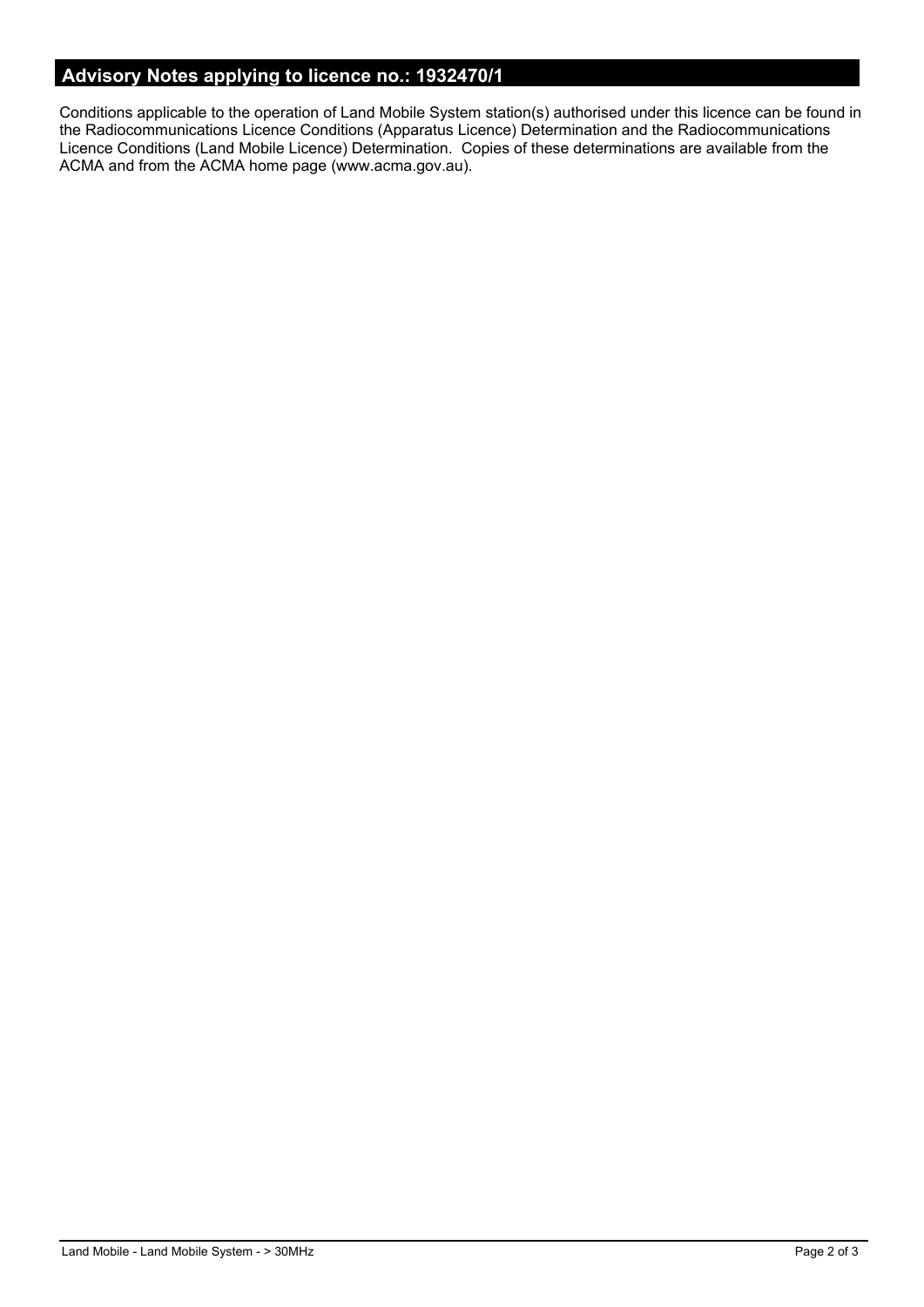# **Advisory Notes applying to licence no.: 1932470/1**

Conditions applicable to the operation of Land Mobile System station(s) authorised under this licence can be found in the Radiocommunications Licence Conditions (Apparatus Licence) Determination and the Radiocommunications Licence Conditions (Land Mobile Licence) Determination. Copies of these determinations are available from the ACMA and from the ACMA home page (www.acma.gov.au).